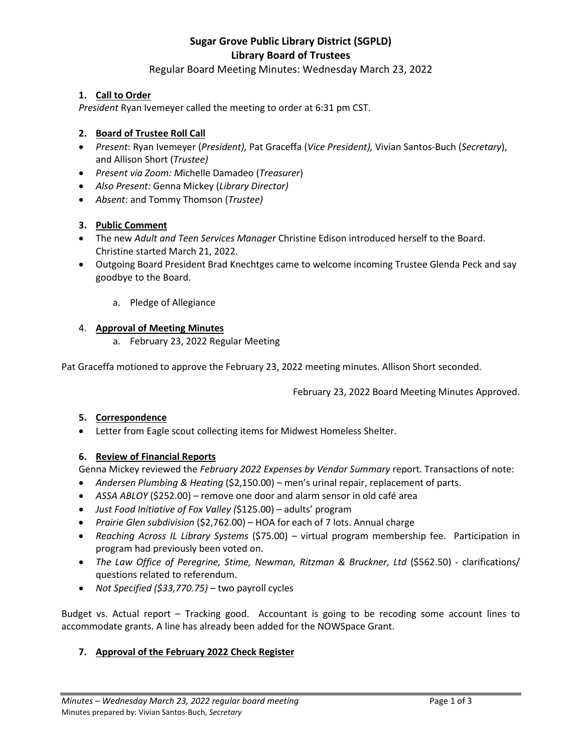# **Sugar Grove Public Library District (SGPLD) Library Board of Trustees**

# Regular Board Meeting Minutes: Wednesday March 23, 2022

## **1. Call to Order**

*President* Ryan Ivemeyer called the meeting to order at 6:31 pm CST.

## **2. Board of Trustee Roll Call**

- *Present*: Ryan Ivemeyer (*President),* Pat Graceffa (*Vice President),* Vivian Santos-Buch (*Secretary*), and Allison Short (*Trustee)*
- *Present via Zoom: M*ichelle Damadeo (*Treasurer*)
- *Also Present:* Genna Mickey (*Library Director)*
- *Absent*: and Tommy Thomson (*Trustee)*

## **3. Public Comment**

- The new *Adult and Teen Services Manager* Christine Edison introduced herself to the Board. Christine started March 21, 2022.
- Outgoing Board President Brad Knechtges came to welcome incoming Trustee Glenda Peck and say goodbye to the Board.
	- a. Pledge of Allegiance

## 4. **Approval of Meeting Minutes**

a. February 23, 2022 Regular Meeting

Pat Graceffa motioned to approve the February 23, 2022 meeting minutes. Allison Short seconded.

February 23, 2022 Board Meeting Minutes Approved.

## **5. Correspondence**

• Letter from Eagle scout collecting items for Midwest Homeless Shelter.

## **6. Review of Financial Reports**

Genna Mickey reviewed the *February 2022 Expenses by Vendor Summary* report. Transactions of note:

- *Andersen Plumbing & Heating* (\$2,150.00) men's urinal repair, replacement of parts.
- *ASSA ABLOY* (\$252.00)remove one door and alarm sensor in old café area
- *Just Food Initiative of Fox Valley (*\$125.00) adults' program
- *Prairie Glen subdivision* (\$2,762.00) HOA for each of 7 lots. Annual charge
- *Reaching Across IL Library Systems* (\$75.00) virtual program membership fee. Participation in program had previously been voted on.
- *The Law Office of Peregrine, Stime, Newman, Ritzman & Bruckner, Ltd* (\$562.50) clarifications/ questions related to referendum.
- *Not Specified (\$33,770.75)*  two payroll cycles

Budget vs. Actual report – Tracking good. Accountant is going to be recoding some account lines to accommodate grants. A line has already been added for the NOWSpace Grant.

# **7. Approval of the February 2022 Check Register**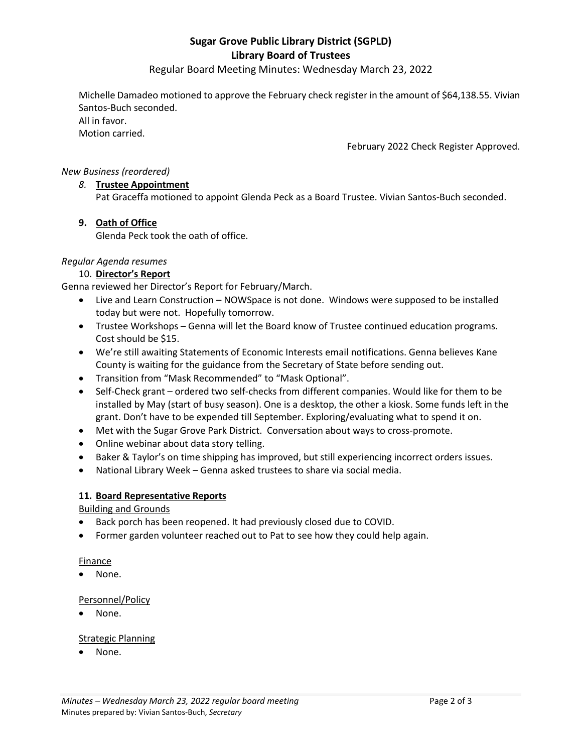# **Sugar Grove Public Library District (SGPLD) Library Board of Trustees**

Regular Board Meeting Minutes: Wednesday March 23, 2022

Michelle Damadeo motioned to approve the February check register in the amount of \$64,138.55. Vivian Santos-Buch seconded. All in favor. Motion carried.

February 2022 Check Register Approved.

## *New Business (reordered)*

## *8.* **Trustee Appointment**

Pat Graceffa motioned to appoint Glenda Peck as a Board Trustee. Vivian Santos-Buch seconded.

## **9. Oath of Office**

Glenda Peck took the oath of office.

## *Regular Agenda resumes*

## 10. **Director's Report**

Genna reviewed her Director's Report for February/March.

- Live and Learn Construction NOWSpace is not done. Windows were supposed to be installed today but were not. Hopefully tomorrow.
- Trustee Workshops Genna will let the Board know of Trustee continued education programs. Cost should be \$15.
- We're still awaiting Statements of Economic Interests email notifications. Genna believes Kane County is waiting for the guidance from the Secretary of State before sending out.
- Transition from "Mask Recommended" to "Mask Optional".
- Self-Check grant ordered two self-checks from different companies. Would like for them to be installed by May (start of busy season). One is a desktop, the other a kiosk. Some funds left in the grant. Don't have to be expended till September. Exploring/evaluating what to spend it on.
- Met with the Sugar Grove Park District. Conversation about ways to cross-promote.
- Online webinar about data story telling.
- Baker & Taylor's on time shipping has improved, but still experiencing incorrect orders issues.
- National Library Week Genna asked trustees to share via social media.

## **11. Board Representative Reports**

Building and Grounds

- Back porch has been reopened. It had previously closed due to COVID.
- Former garden volunteer reached out to Pat to see how they could help again.

## Finance

• None.

## Personnel/Policy

• None.

## Strategic Planning

• None.